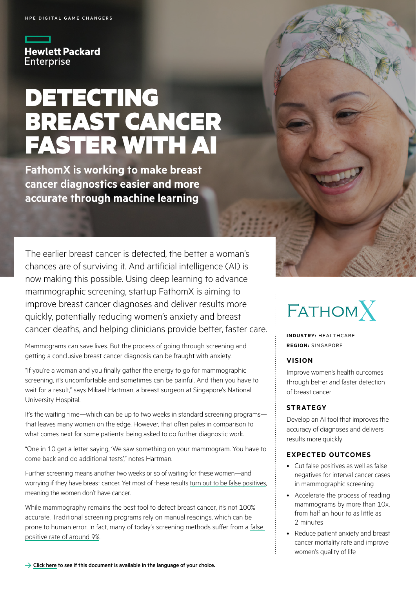**Hewlett Packard Enterprise** 

# DETECTING BREAST CANCER FASTER WITH AI

**FathomX is working to make breast cancer diagnostics easier and more accurate through machine learning**

The earlier breast cancer is detected, the better a woman's chances are of surviving it. And artificial intelligence (AI) is now making this possible. Using deep learning to advance mammographic screening, startup FathomX is aiming to improve breast cancer diagnoses and deliver results more quickly, potentially reducing women's anxiety and breast cancer deaths, and helping clinicians provide better, faster care.

Mammograms can save lives. But the process of going through screening and getting a conclusive breast cancer diagnosis can be fraught with anxiety.

"If you're a woman and you finally gather the energy to go for mammographic screening, it's uncomfortable and sometimes can be painful. And then you have to wait for a result," says Mikael Hartman, a breast surgeon at Singapore's National University Hospital.

It's the waiting time—which can be up to two weeks in standard screening programs that leaves many women on the edge. However, that often pales in comparison to what comes next for some patients: being asked to do further diagnostic work.

"One in 10 get a letter saying, 'We saw something on your mammogram. You have to come back and do additional tests'," notes Hartman.

Further screening means another two weeks or so of waiting for these women—and worrying if they have breast cancer. Yet most of these results [turn out to be false positives,](https://www.ncbi.nlm.nih.gov/pmc/articles/PMC4589306/) meaning the women don't have cancer.

While mammography remains the best tool to detect breast cancer, it's not 100% accurate. Traditional screening programs rely on manual readings, which can be prone to human error. In fact, many of today's screening methods suffer from a [false](https://www.jstor.org/stable/26586114)  [positive rate of around 9%](https://www.jstor.org/stable/26586114).

## $FATHOMX$

**INDUSTRY:** HEALTHCARE **REGION:** SINGAPORE

#### **VISION**

Improve women's health outcomes through better and faster detection of breast cancer

#### **STRATEGY**

Develop an AI tool that improves the accuracy of diagnoses and delivers results more quickly

#### **EXPECTED OUTCOMES**

- Cut false positives as well as false negatives for interval cancer cases in mammographic screening
- Accelerate the process of reading mammograms by more than 10x, from half an hour to as little as 2 minutes
- Reduce patient anxiety and breast cancer mortality rate and improve women's quality of life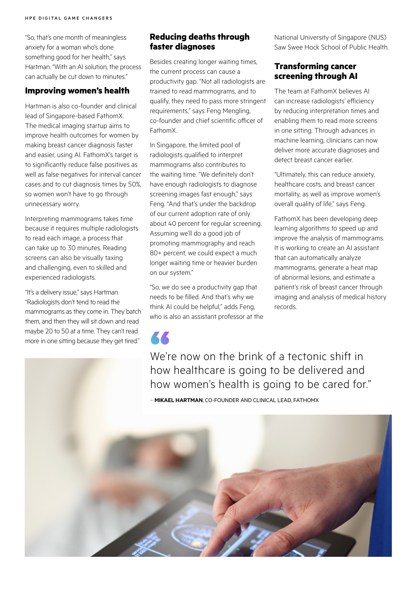"So, that's one month of meaningless anxiety for a woman who's done something good for her health," says Hartman. "With an AI solution, the process can actually be cut down to minutes."

#### **Improving women's health**

Hartman is also co-founder and clinical lead of Singapore-based FathomX. The medical imaging startup aims to improve health outcomes for women by making breast cancer diagnosis faster and easier, using AI. FathomX's target is to significantly reduce false positives as well as false negatives for interval cancer cases and to cut diagnosis times by 50%, so women won't have to go through unnecessary worry.

Interpreting mammograms takes time because it requires multiple radiologists to read each image, a process that can take up to 30 minutes. Reading screens can also be visually taxing and challenging, even to skilled and experienced radiologists.

"It's a delivery issue," says Hartman. "Radiologists don't tend to read the mammograms as they come in. They batch them, and then they will sit down and read maybe 20 to 50 at a time. They can't read more in one sitting because they get tired."

## **Reducing deaths through faster diagnoses**

Besides creating longer waiting times, the current process can cause a productivity gap. "Not all radiologists are trained to read mammograms, and to qualify, they need to pass more stringent requirements," says Feng Mengling, co-founder and chief scientific officer of FathomX.

In Singapore, the limited pool of radiologists qualified to interpret mammograms also contributes to the waiting time. "We definitely don't have enough radiologists to diagnose screening images fast enough," says Feng. "And that's under the backdrop of our current adoption rate of only about 40 percent for regular screening. Assuming we'll do a good job of promoting mammography and reach 80+ percent, we could expect a much longer waiting time or heavier burden on our system."

"So, we do see a productivity gap that needs to be filled. And that's why we think AI could be helpful," adds Feng, who is also an assistant professor at the National University of Singapore (NUS) Saw Swee Hock School of Public Health.

## **Transforming cancer screening through AI**

The team at FathomX believes AI can increase radiologists' efficiency by reducing interpretation times and enabling them to read more screens in one sitting. Through advances in machine learning, clinicians can now deliver more accurate diagnoses and detect breast cancer earlier.

"Ultimately, this can reduce anxiety, healthcare costs, and breast cancer mortality, as well as improve women's overall quality of life," says Feng.

FathomX has been developing deep learning algorithms to speed up and improve the analysis of mammograms. It is working to create an AI assistant that can automatically analyze mammograms, generate a heat map of abnormal lesions, and estimate a patient's risk of breast cancer through imaging and analysis of medical history records.

We're now on the brink of a tectonic shift in how healthcare is going to be delivered and how women's health is going to be cared for."

– **MIKAEL HARTMAN**, CO-FOUNDER AND CLINICAL LEAD, FATHOMX

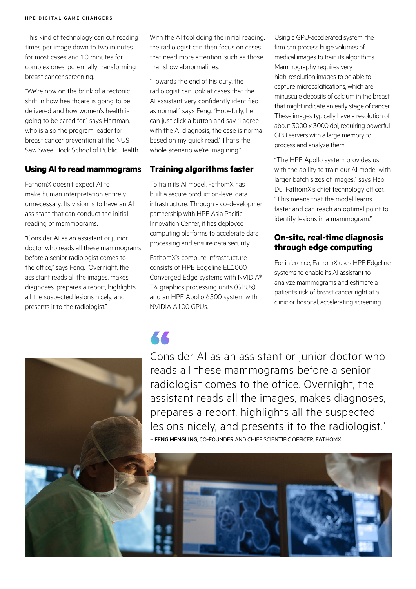This kind of technology can cut reading times per image down to two minutes for most cases and 10 minutes for complex ones, potentially transforming breast cancer screening.

"We're now on the brink of a tectonic shift in how healthcare is going to be delivered and how women's health is going to be cared for," says Hartman, who is also the program leader for breast cancer prevention at the NUS Saw Swee Hock School of Public Health.

#### **Using AI to read mammograms**

FathomX doesn't expect AI to make human interpretation entirely unnecessary. Its vision is to have an AI assistant that can conduct the initial reading of mammograms.

"Consider AI as an assistant or junior doctor who reads all these mammograms before a senior radiologist comes to the office," says Feng. "Overnight, the assistant reads all the images, makes diagnoses, prepares a report, highlights all the suspected lesions nicely, and presents it to the radiologist."

With the AI tool doing the initial reading, the radiologist can then focus on cases that need more attention, such as those that show abnormalities.

"Towards the end of his duty, the radiologist can look at cases that the AI assistant very confidently identified as normal," says Feng. "Hopefully, he can just click a button and say, 'I agree with the AI diagnosis, the case is normal based on my quick read.' That's the whole scenario we're imagining."

#### **Training algorithms faster**

To train its AI model, FathomX has built a secure production-level data infrastructure. Through a co-development partnership with HPE Asia Pacific Innovation Center, it has deployed computing platforms to accelerate data processing and ensure data security.

FathomX's compute infrastructure consists of HPE Edgeline EL1000 Converged Edge systems with NVIDIA® T4 graphics processing units (GPUs) and an HPE Apollo 6500 system with NVIDIA A100 GPUs.

Using a GPU-accelerated system, the firm can process huge volumes of medical images to train its algorithms. Mammography requires very high-resolution images to be able to capture microcalcifications, which are minuscule deposits of calcium in the breast that might indicate an early stage of cancer. These images typically have a resolution of about 3000 x 3000 dpi, requiring powerful GPU servers with a large memory to process and analyze them.

"The HPE Apollo system provides us with the ability to train our AI model with larger batch sizes of images," says Hao Du, FathomX's chief technology officer. "This means that the model learns faster and can reach an optimal point to identify lesions in a mammogram."

#### **On-site, real-time diagnosis through edge computing**

For inference, FathomX uses HPE Edgeline systems to enable its AI assistant to analyze mammograms and estimate a patient's risk of breast cancer right at a clinic or hospital, accelerating screening.



KK

Consider AI as an assistant or junior doctor who reads all these mammograms before a senior radiologist comes to the office. Overnight, the assistant reads all the images, makes diagnoses, prepares a report, highlights all the suspected lesions nicely, and presents it to the radiologist." – **FENG MENGLING**, CO-FOUNDER AND CHIEF SCIENTIFIC OFFICER, FATHOMX